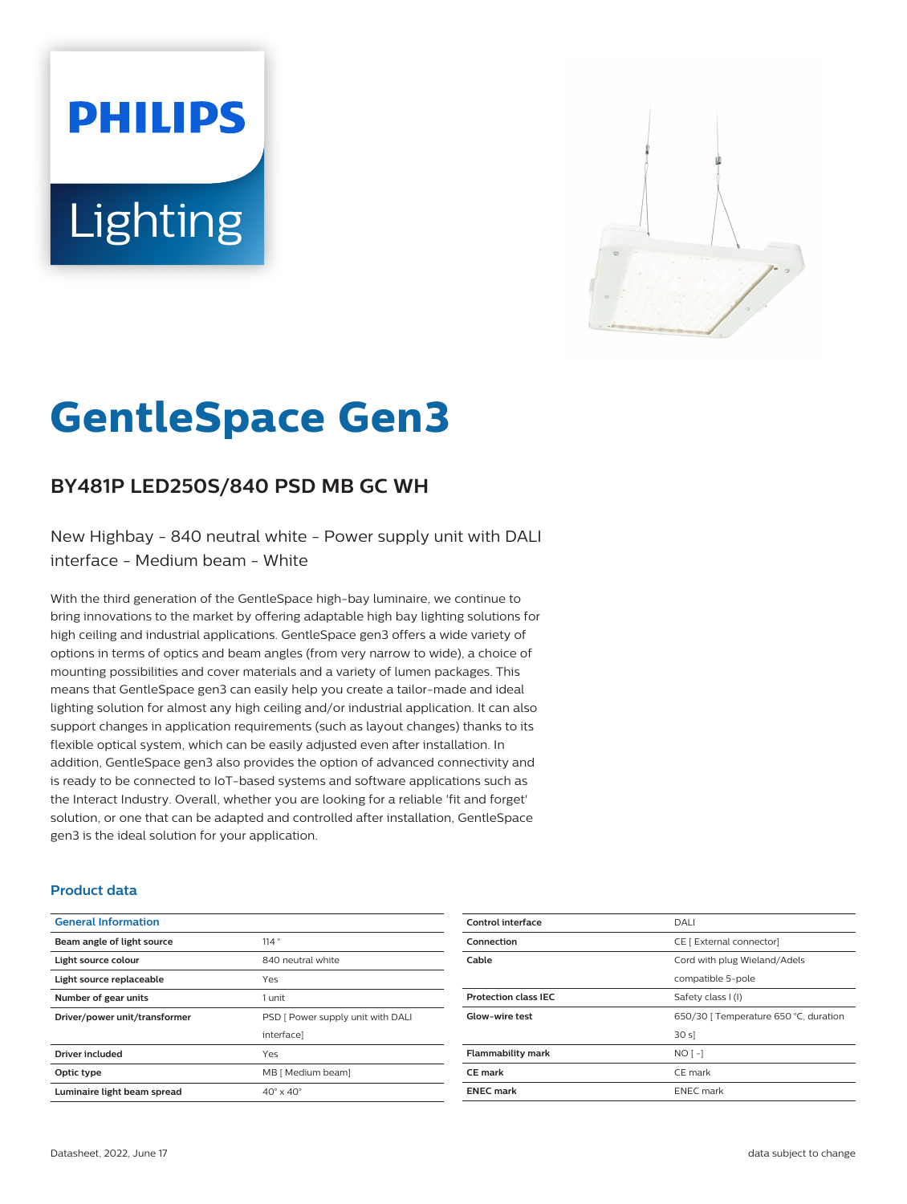# **PHILIPS Lighting**



# **GentleSpace Gen3**

# **BY481P LED250S/840 PSD MB GC WH**

New Highbay - 840 neutral white - Power supply unit with DALI interface - Medium beam - White

With the third generation of the GentleSpace high-bay luminaire, we continue to bring innovations to the market by offering adaptable high bay lighting solutions for high ceiling and industrial applications. GentleSpace gen3 offers a wide variety of options in terms of optics and beam angles (from very narrow to wide), a choice of mounting possibilities and cover materials and a variety of lumen packages. This means that GentleSpace gen3 can easily help you create a tailor-made and ideal lighting solution for almost any high ceiling and/or industrial application. It can also support changes in application requirements (such as layout changes) thanks to its flexible optical system, which can be easily adjusted even after installation. In addition, GentleSpace gen3 also provides the option of advanced connectivity and is ready to be connected to IoT-based systems and software applications such as the Interact Industry. Overall, whether you are looking for a reliable 'fit and forget' solution, or one that can be adapted and controlled after installation, GentleSpace gen3 is the ideal solution for your application.

#### **Product data**

| <b>General Information</b>    |                                   |
|-------------------------------|-----------------------------------|
| Beam angle of light source    | 114°                              |
| Light source colour           | 840 neutral white                 |
| Light source replaceable      | Yes                               |
| Number of gear units          | 1 unit                            |
| Driver/power unit/transformer | PSD [ Power supply unit with DALI |
|                               | interface]                        |
| <b>Driver included</b>        | Yes                               |
| Optic type                    | MB [ Medium beam]                 |
| Luminaire light beam spread   | $40^\circ \times 40^\circ$        |

| Control interface           | DALI                                  |
|-----------------------------|---------------------------------------|
| Connection                  | CE [ External connector]              |
| Cable                       | Cord with plug Wieland/Adels          |
|                             | compatible 5-pole                     |
| <b>Protection class IEC</b> | Safety class I (I)                    |
| Glow-wire test              | 650/30   Temperature 650 °C, duration |
|                             | 30 s                                  |
| <b>Flammability mark</b>    | $NO[-]$                               |
| <b>CE</b> mark              | CE mark                               |
| <b>ENEC mark</b>            | <b>ENEC</b> mark                      |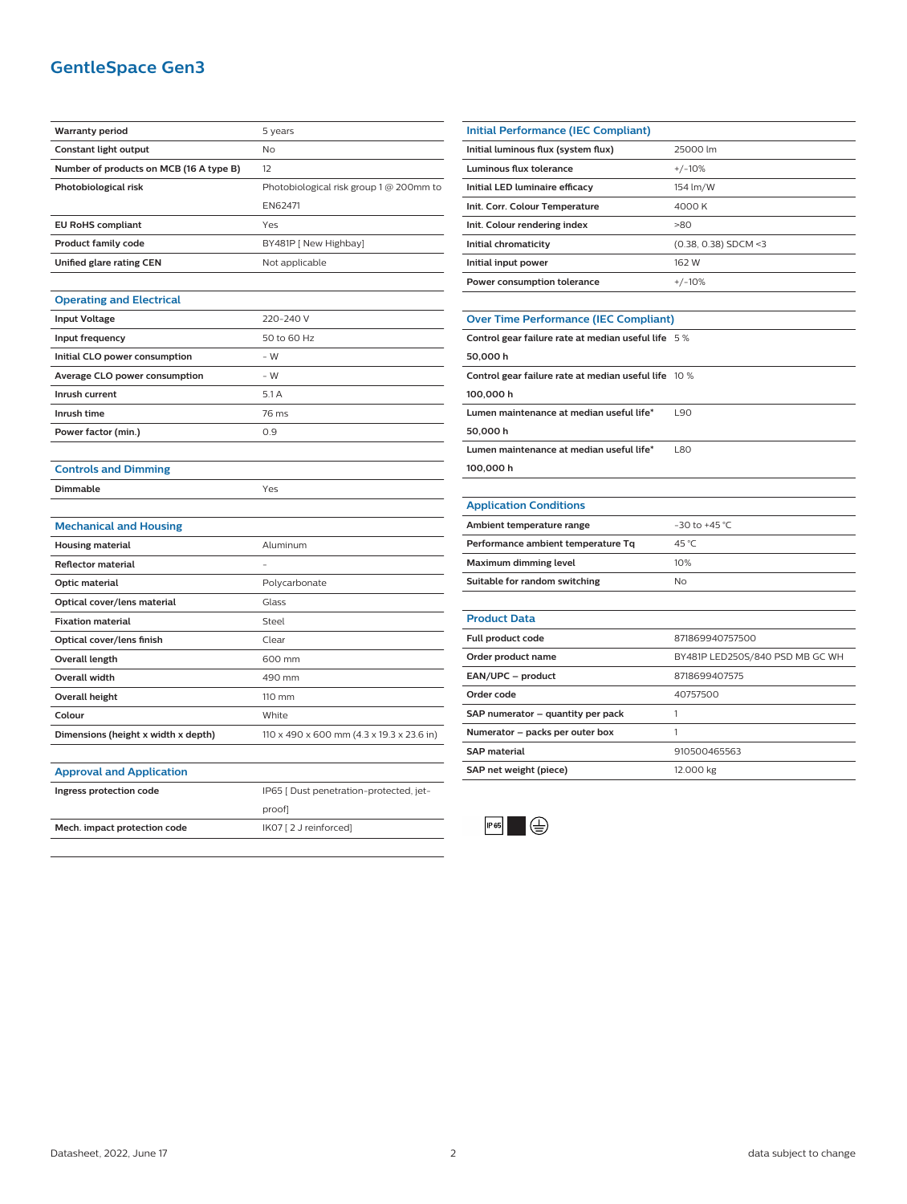## **GentleSpace Gen3**

| <b>Warranty period</b>                  | 5 years                                   |
|-----------------------------------------|-------------------------------------------|
| Constant light output                   | No                                        |
| Number of products on MCB (16 A type B) | 12                                        |
| Photobiological risk                    | Photobiological risk group 1 @ 200mm to   |
|                                         | EN62471                                   |
| <b>EU RoHS compliant</b>                | Yes                                       |
| <b>Product family code</b>              | BY481P [ New Highbay]                     |
| Unified glare rating CEN                | Not applicable                            |
|                                         |                                           |
| <b>Operating and Electrical</b>         |                                           |
| <b>Input Voltage</b>                    | 220-240 V                                 |
| Input frequency                         | 50 to 60 Hz                               |
| Initial CLO power consumption           | $-W$                                      |
| Average CLO power consumption           | - W                                       |
| Inrush current                          | 5.1 A                                     |
| Inrush time                             | 76 ms                                     |
| Power factor (min.)                     | 0.9                                       |
|                                         |                                           |
| <b>Controls and Dimming</b>             |                                           |
| Dimmable                                | Yes                                       |
|                                         |                                           |
| <b>Mechanical and Housing</b>           |                                           |
| <b>Housing material</b>                 | Aluminum                                  |
| <b>Reflector material</b>               |                                           |
| Optic material                          | Polycarbonate                             |
| Optical cover/lens material             | Glass                                     |
| <b>Fixation material</b>                | Steel                                     |
| Optical cover/lens finish               | Clear                                     |
| Overall length                          | 600 mm                                    |
| Overall width                           | 490 mm                                    |
| <b>Overall height</b>                   | 110 mm                                    |
| Colour                                  | White                                     |
| Dimensions (height x width x depth)     | 110 x 490 x 600 mm (4.3 x 19.3 x 23.6 in) |
|                                         |                                           |
| <b>Approval and Application</b>         |                                           |
| Ingress protection code                 | IP65 [ Dust penetration-protected, jet-   |
|                                         | proof]                                    |
| Mech. impact protection code            | IK07 [2 J reinforced]                     |
|                                         |                                           |

| <b>Initial Performance (IEC Compliant)</b>         |                        |  |
|----------------------------------------------------|------------------------|--|
| Initial luminous flux (system flux)                | 25000 lm               |  |
| Luminous flux tolerance                            | $+/-10%$               |  |
| Initial LED luminaire efficacy                     | 154 lm/W               |  |
| Init. Corr. Colour Temperature                     | 4000 K                 |  |
| Init. Colour rendering index                       | >80                    |  |
| Initial chromaticity                               | $(0.38, 0.38)$ SDCM <3 |  |
| Initial input power                                | 162 W                  |  |
| Power consumption tolerance                        | $+/-10%$               |  |
|                                                    |                        |  |
| <b>Over Time Performance (IEC Compliant)</b>       |                        |  |
| Control gear failure rate at median useful life 5% |                        |  |
| 50,000 h                                           |                        |  |

| JU.UUU II                                            |      |
|------------------------------------------------------|------|
| Control gear failure rate at median useful life 10 % |      |
| 100,000 h                                            |      |
| Lumen maintenance at median useful life*             | 190  |
| 50,000 h                                             |      |
| Lumen maintenance at median useful life*             | 1.80 |
|                                                      |      |

**100,000 h**

#### **Application Conditions**

| Ambient temperature range          | $-30$ to $+45$ °C |
|------------------------------------|-------------------|
| Performance ambient temperature Tq | 45 °C             |
| Maximum dimming level              | 10%               |
| Suitable for random switching      | Nο                |

| <b>Product Data</b>               |                                 |
|-----------------------------------|---------------------------------|
| Full product code                 | 871869940757500                 |
| Order product name                | BY481P LED250S/840 PSD MB GC WH |
| EAN/UPC - product                 | 8718699407575                   |
| Order code                        | 40757500                        |
| SAP numerator - quantity per pack |                                 |
| Numerator - packs per outer box   |                                 |
| <b>SAP</b> material               | 910500465563                    |
| SAP net weight (piece)            | 12.000 kg                       |
|                                   |                                 |